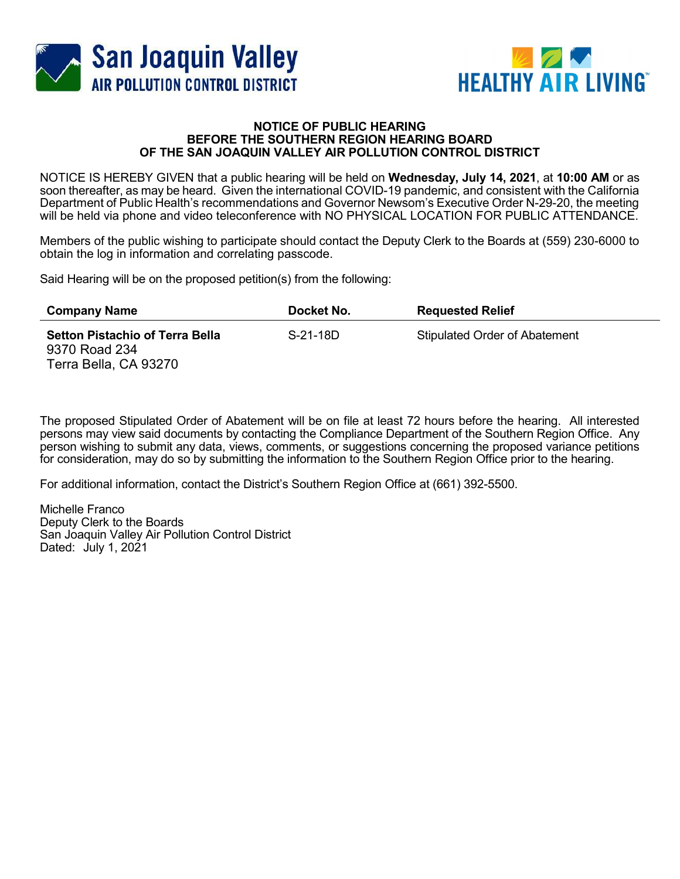



## NOTICE OF PUBLIC HEARING BEFORE THE SOUTHERN REGION HEARING BOARD OF THE SAN JOAQUIN VALLEY AIR POLLUTION CONTROL DISTRICT

NOTICE IS HEREBY GIVEN that a public hearing will be held on Wednesday, July 14, 2021, at 10:00 AM or as soon thereafter, as may be heard. Given the international COVID-19 pandemic, and consistent with the California Department of Public Health's recommendations and Governor Newsom's Executive Order N-29-20, the meeting will be held via phone and video teleconference with NO PHYSICAL LOCATION FOR PUBLIC ATTENDANCE.

Members of the public wishing to participate should contact the Deputy Clerk to the Boards at (559) 230-6000 to obtain the log in information and correlating passcode.

Said Hearing will be on the proposed petition(s) from the following:

| <b>Company Name</b>                                                              | Docket No. | <b>Requested Relief</b>              |
|----------------------------------------------------------------------------------|------------|--------------------------------------|
| <b>Setton Pistachio of Terra Bella</b><br>9370 Road 234<br>Terra Bella, CA 93270 | S-21-18D   | <b>Stipulated Order of Abatement</b> |

The proposed Stipulated Order of Abatement will be on file at least 72 hours before the hearing. All interested persons may view said documents by contacting the Compliance Department of the Southern Region Office. Any person wishing to submit any data, views, comments, or suggestions concerning the proposed variance petitions for consideration, may do so by submitting the information to the Southern Region Office prior to the hearing.

For additional information, contact the District's Southern Region Office at (661) 392-5500.

Michelle Franco Deputy Clerk to the Boards San Joaquin Valley Air Pollution Control District Dated: July 1, 2021